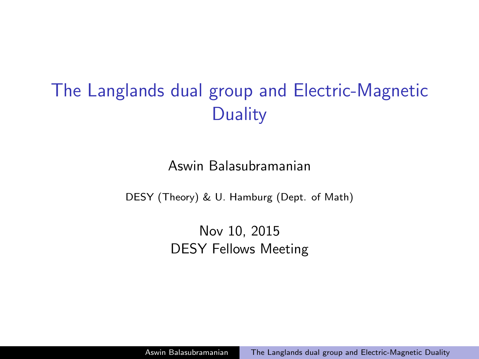# <span id="page-0-0"></span>The Langlands dual group and Electric-Magnetic **Duality**

Aswin Balasubramanian

DESY (Theory) & U. Hamburg (Dept. of Math)

Nov 10, 2015 DESY Fellows Meeting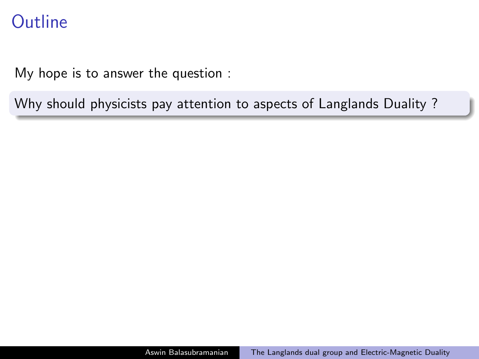### **Outline**

My hope is to answer the question :

Why should physicists pay attention to aspects of Langlands Duality ?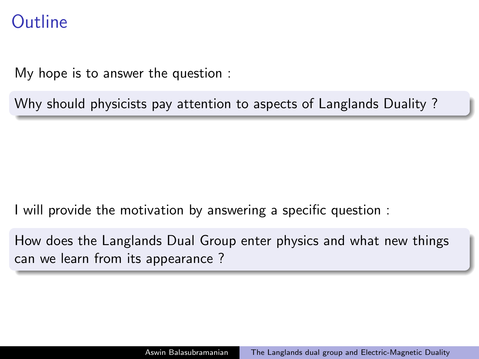### **Outline**

My hope is to answer the question :

Why should physicists pay attention to aspects of Langlands Duality ?

I will provide the motivation by answering a specific question :

How does the Langlands Dual Group enter physics and what new things can we learn from its appearance ?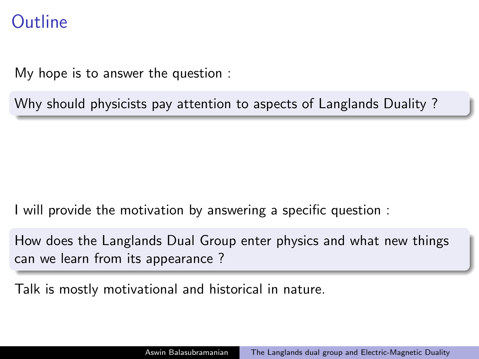### **Outline**

My hope is to answer the question :

Why should physicists pay attention to aspects of Langlands Duality ?

I will provide the motivation by answering a specific question :

How does the Langlands Dual Group enter physics and what new things can we learn from its appearance ?

Talk is mostly motivational and historical in nature.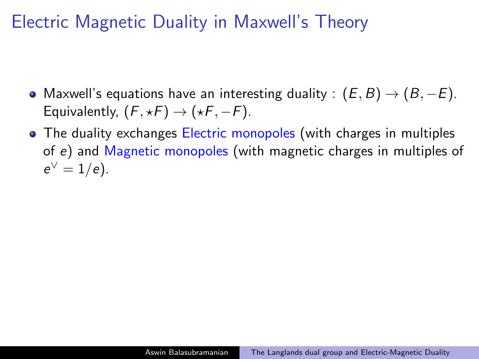## Electric Magnetic Duality in Maxwell's Theory

- Maxwell's equations have an interesting duality :  $(E, B) \rightarrow (B, -E)$ . Equivalently,  $(F, \star F) \rightarrow (\star F, -F)$ .
- The duality exchanges Electric monopoles (with charges in multiples of e) and Magnetic monopoles (with magnetic charges in multiples of  $e^{\vee} = 1/e$ ).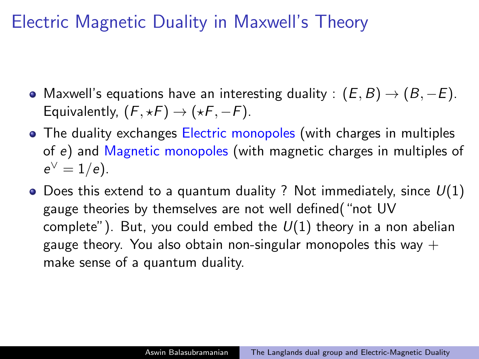## Electric Magnetic Duality in Maxwell's Theory

- Maxwell's equations have an interesting duality :  $(E, B) \rightarrow (B, -E)$ . Equivalently,  $(F, \star F) \rightarrow (\star F, -F)$ .
- The duality exchanges Electric monopoles (with charges in multiples of e) and Magnetic monopoles (with magnetic charges in multiples of  $e^{\vee} = 1/e$ ).
- Does this extend to a quantum duality ? Not immediately, since  $U(1)$ gauge theories by themselves are not well defined("not UV complete"). But, you could embed the  $U(1)$  theory in a non abelian gauge theory. You also obtain non-singular monopoles this way  $+$ make sense of a quantum duality.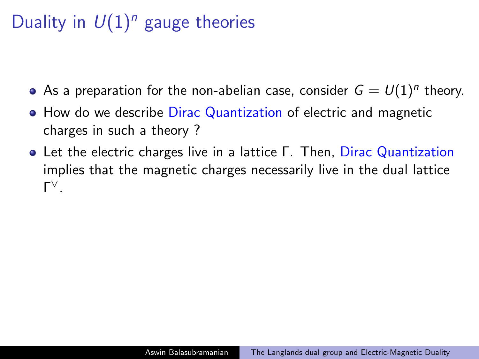# Duality in  $U(1)^n$  gauge theories

- As a preparation for the non-abelian case, consider  $G=U(1)^n$  theory.
- How do we describe Dirac Quantization of electric and magnetic charges in such a theory ?
- Let the electric charges live in a lattice Γ. Then, Dirac Quantization implies that the magnetic charges necessarily live in the dual lattice Γ ∨.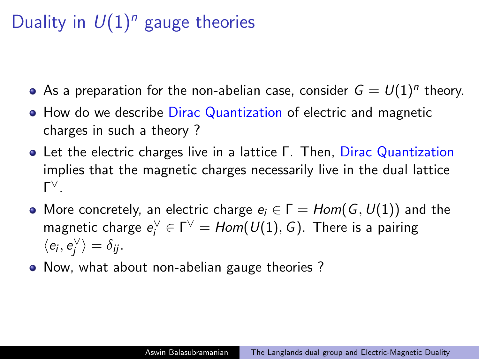# Duality in  $U(1)^n$  gauge theories

- As a preparation for the non-abelian case, consider  $G=U(1)^n$  theory.
- How do we describe Dirac Quantization of electric and magnetic charges in such a theory ?
- Let the electric charges live in a lattice Γ. Then, Dirac Quantization implies that the magnetic charges necessarily live in the dual lattice Γ ∨.
- More concretely, an electric charge  $e_i \in \Gamma = Hom(G, U(1))$  and the magnetic charge  $e_i^\vee\in \Gamma^\vee=Hom(\textit{U}(1),\textit{G})$ . There is a pairing  $\langle e_i, e_j^{\vee} \rangle = \delta_{ij}.$
- Now, what about non-abelian gauge theories?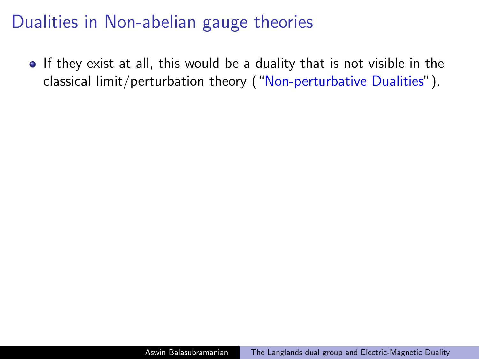• If they exist at all, this would be a duality that is not visible in the classical limit/perturbation theory ("Non-perturbative Dualities").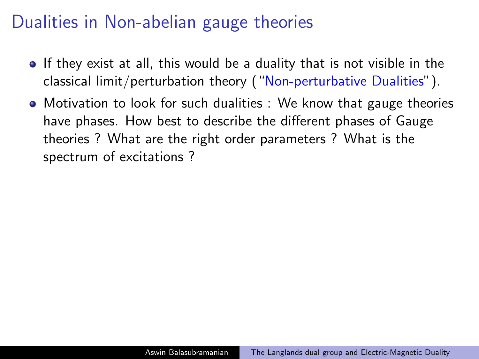- If they exist at all, this would be a duality that is not visible in the classical limit/perturbation theory ("Non-perturbative Dualities").
- Motivation to look for such dualities : We know that gauge theories have phases. How best to describe the different phases of Gauge theories ? What are the right order parameters ? What is the spectrum of excitations ?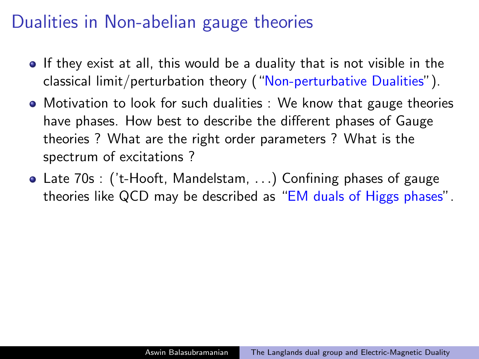- If they exist at all, this would be a duality that is not visible in the classical limit/perturbation theory ("Non-perturbative Dualities").
- Motivation to look for such dualities : We know that gauge theories have phases. How best to describe the different phases of Gauge theories ? What are the right order parameters ? What is the spectrum of excitations ?
- Late 70s : ('t-Hooft, Mandelstam, . . .) Confining phases of gauge theories like QCD may be described as "EM duals of Higgs phases".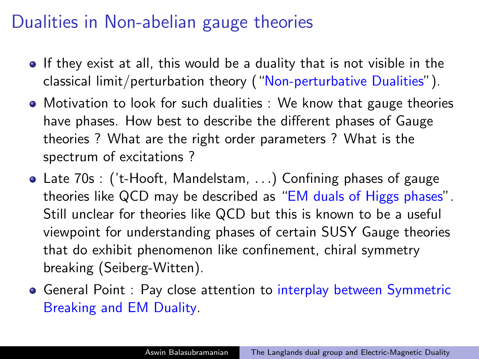- If they exist at all, this would be a duality that is not visible in the classical limit/perturbation theory ("Non-perturbative Dualities").
- Motivation to look for such dualities : We know that gauge theories have phases. How best to describe the different phases of Gauge theories ? What are the right order parameters ? What is the spectrum of excitations ?
- Late 70s : ('t-Hooft, Mandelstam, . . .) Confining phases of gauge theories like QCD may be described as "EM duals of Higgs phases". Still unclear for theories like QCD but this is known to be a useful viewpoint for understanding phases of certain SUSY Gauge theories that do exhibit phenomenon like confinement, chiral symmetry breaking (Seiberg-Witten).
- **General Point : Pay close attention to interplay between Symmetric** Breaking and EM Duality.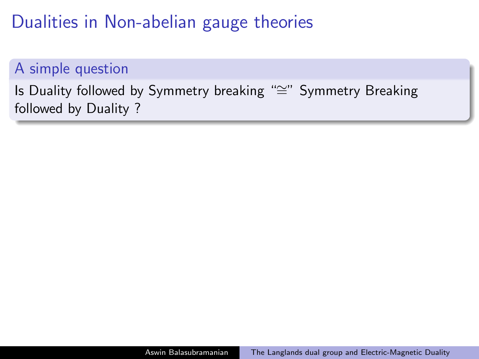#### A simple question

Is Duality followed by Symmetry breaking "≅" Symmetry Breaking followed by Duality ?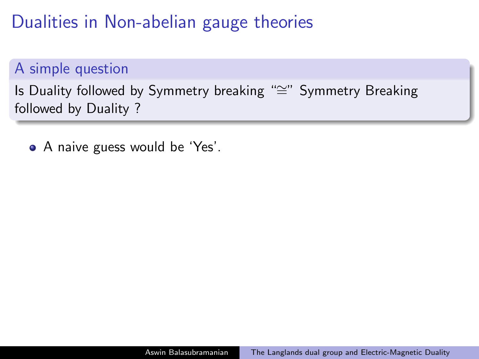#### A simple question

Is Duality followed by Symmetry breaking "≅" Symmetry Breaking followed by Duality ?

• A naive guess would be 'Yes'.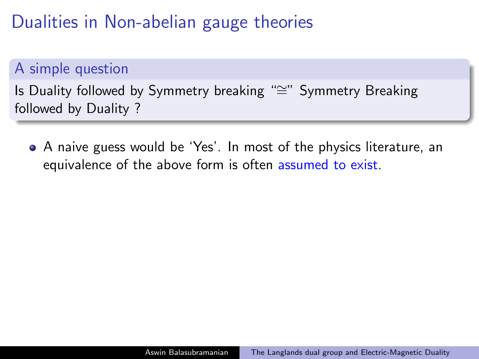#### A simple question

Is Duality followed by Symmetry breaking "≅" Symmetry Breaking followed by Duality ?

A naive guess would be 'Yes'. In most of the physics literature, an equivalence of the above form is often assumed to exist.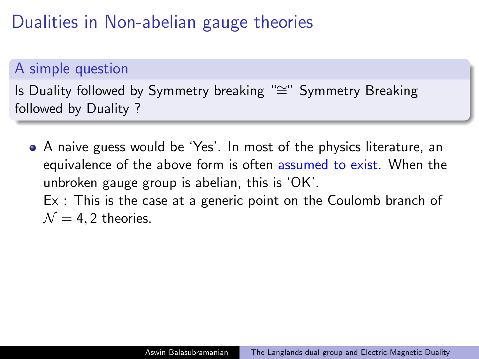#### A simple question

Is Duality followed by Symmetry breaking "≅" Symmetry Breaking followed by Duality ?

A naive guess would be 'Yes'. In most of the physics literature, an equivalence of the above form is often assumed to exist. When the unbroken gauge group is abelian, this is 'OK'. Ex : This is the case at a generic point on the Coulomb branch of  $\mathcal{N} = 4, 2$  theories.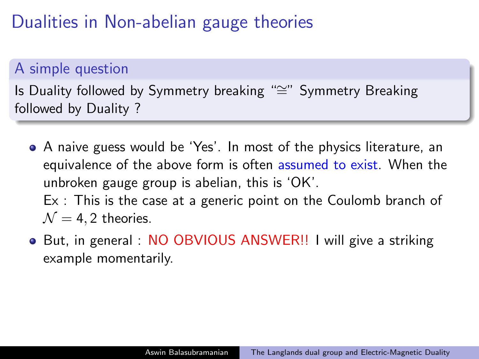#### A simple question

Is Duality followed by Symmetry breaking "≅" Symmetry Breaking followed by Duality ?

- A naive guess would be 'Yes'. In most of the physics literature, an equivalence of the above form is often assumed to exist. When the unbroken gauge group is abelian, this is 'OK'. Ex : This is the case at a generic point on the Coulomb branch of  $\mathcal{N} = 4, 2$  theories.
- But, in general : NO OBVIOUS ANSWER!! I will give a striking example momentarily.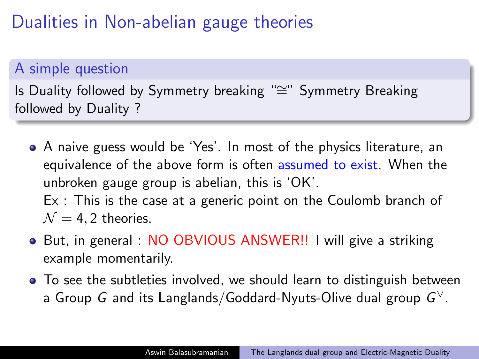#### A simple question

Is Duality followed by Symmetry breaking "≅" Symmetry Breaking followed by Duality ?

- A naive guess would be 'Yes'. In most of the physics literature, an equivalence of the above form is often assumed to exist. When the unbroken gauge group is abelian, this is 'OK'. Ex : This is the case at a generic point on the Coulomb branch of  $\mathcal{N} = 4, 2$  theories.
- But, in general : NO OBVIOUS ANSWER!! I will give a striking example momentarily.
- To see the subtleties involved, we should learn to distinguish between a Group  $\,G$  and its Langlands/Goddard-Nyuts-Olive dual group  $\,G^\vee.$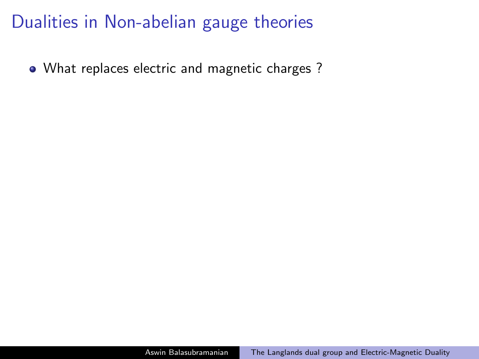What replaces electric and magnetic charges ?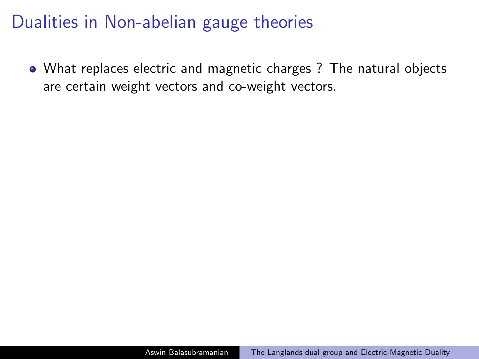What replaces electric and magnetic charges ? The natural objects are certain weight vectors and co-weight vectors.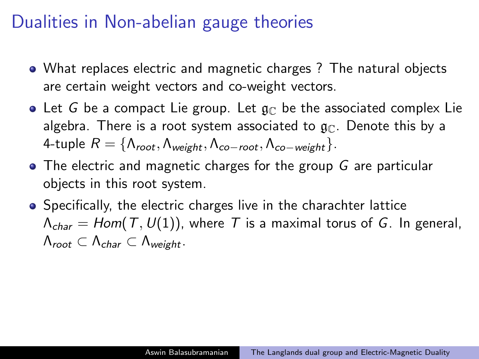- What replaces electric and magnetic charges ? The natural objects are certain weight vectors and co-weight vectors.
- Let G be a compact Lie group. Let  $\mathfrak{g}_{\mathbb{C}}$  be the associated complex Lie algebra. There is a root system associated to  $\mathfrak{g}_{\mathbb{C}}$ . Denote this by a 4-tuple  $R = \{\Lambda_{root}, \Lambda_{weight}, \Lambda_{co-root}, \Lambda_{co-weight}\}.$
- The electric and magnetic charges for the group G are particular objects in this root system.
- Specifically, the electric charges live in the charachter lattice  $\Lambda_{char} = Hom(T, U(1))$ , where T is a maximal torus of G. In general,  $\Lambda_{root} \subset \Lambda_{char} \subset \Lambda_{weight}$ .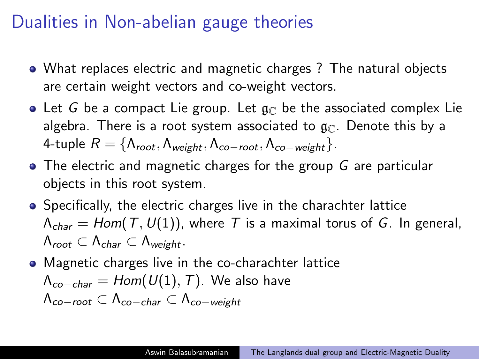- What replaces electric and magnetic charges ? The natural objects are certain weight vectors and co-weight vectors.
- Let G be a compact Lie group. Let  $\mathfrak{g}_{\mathbb{C}}$  be the associated complex Lie algebra. There is a root system associated to  $\mathfrak{g}_{\mathbb{C}}$ . Denote this by a 4-tuple  $R = \{\Lambda_{root}, \Lambda_{weight}, \Lambda_{co-root}, \Lambda_{co-weight}\}.$
- The electric and magnetic charges for the group G are particular objects in this root system.
- Specifically, the electric charges live in the charachter lattice  $\Lambda_{char} = Hom(T, U(1))$ , where T is a maximal torus of G. In general,  $\Lambda_{root} \subset \Lambda_{char} \subset \Lambda_{weight}$ .
- Magnetic charges live in the co-charachter lattice

$$
\Lambda_{co-char} = Hom(U(1), T).
$$
 We also have

$$
\Lambda_{co-root} \subset \Lambda_{co-char} \subset \Lambda_{co-weight}
$$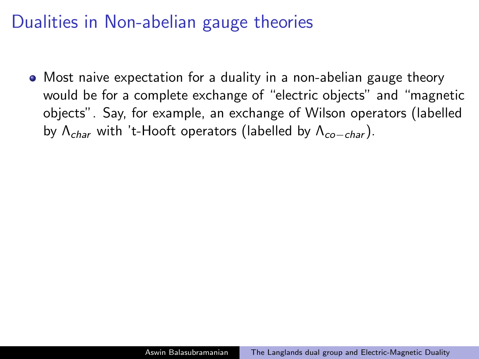Most naive expectation for a duality in a non-abelian gauge theory would be for a complete exchange of "electric objects" and "magnetic objects". Say, for example, an exchange of Wilson operators (labelled by  $\Lambda_{char}$  with 't-Hooft operators (labelled by  $\Lambda_{co-char}$ ).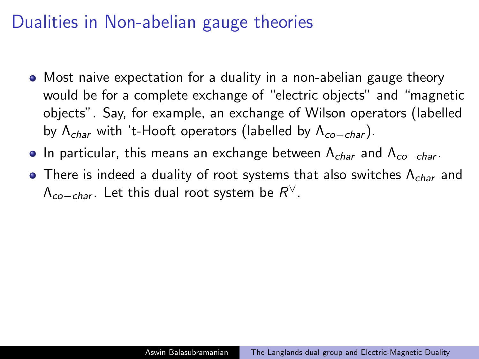- Most naive expectation for a duality in a non-abelian gauge theory would be for a complete exchange of "electric objects" and "magnetic objects". Say, for example, an exchange of Wilson operators (labelled by  $\Lambda_{char}$  with 't-Hooft operators (labelled by  $\Lambda_{co-char}$ ).
- In particular, this means an exchange between  $\Lambda_{char}$  and  $\Lambda_{co-char}$ .
- There is indeed a duality of root systems that also switches  $\Lambda_{char}$  and  $\Lambda_{co-char}$ . Let this dual root system be  $R^\vee$ .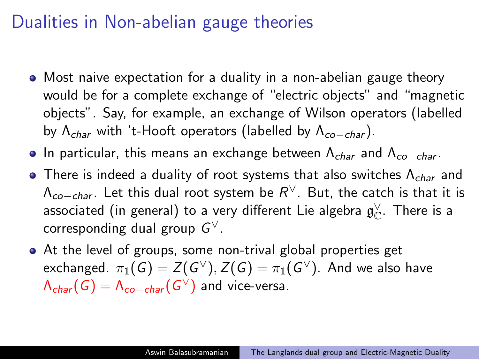- Most naive expectation for a duality in a non-abelian gauge theory would be for a complete exchange of "electric objects" and "magnetic objects". Say, for example, an exchange of Wilson operators (labelled by  $\Lambda_{char}$  with 't-Hooft operators (labelled by  $\Lambda_{co-char}$ ).
- In particular, this means an exchange between  $\Lambda_{char}$  and  $\Lambda_{co-char}$ .
- There is indeed a duality of root systems that also switches  $\Lambda_{char}$  and  $\Lambda_{co-char}$ . Let this dual root system be  $R^\vee$ . But, the catch is that it is associated (in general) to a very different Lie algebra  $\mathfrak{g}^\vee_\mathbb{C}.$  There is a corresponding dual group  $G^\vee$ .
- At the level of groups, some non-trival global properties get exchanged.  $\pi_1(G)=Z(G^\vee), Z(G)=\pi_1(G^\vee).$  And we also have  $\mathsf{\Lambda}_{\mathsf{char}}(\mathsf{G})=\mathsf{\Lambda}_{\mathsf{co}-\mathsf{char}}(\mathsf{G}^\vee)$  and vice-versa.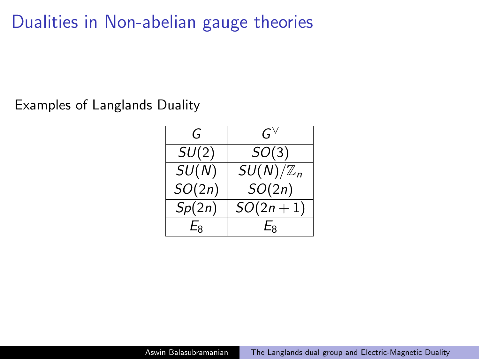Examples of Langlands Duality

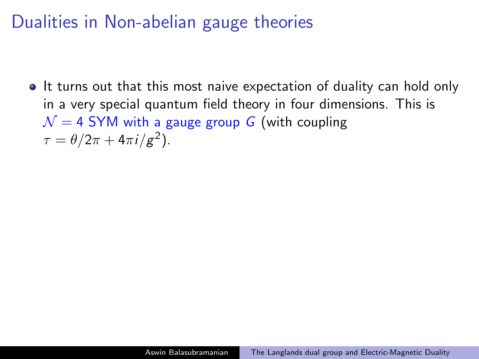If turns out that this most naive expectation of duality can hold only in a very special quantum field theory in four dimensions. This is  $\mathcal{N} = 4$  SYM with a gauge group G (with coupling  $\tau = \theta/2\pi + 4\pi i/g^2$ ).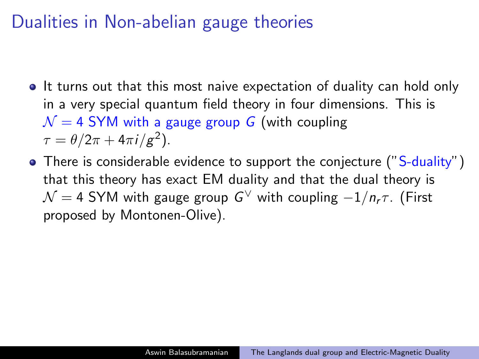- If turns out that this most naive expectation of duality can hold only in a very special quantum field theory in four dimensions. This is  $\mathcal{N} = 4$  SYM with a gauge group G (with coupling  $\tau = \theta/2\pi + 4\pi i/g^2$ ).
- There is considerable evidence to support the conjecture ("S-duality") that this theory has exact EM duality and that the dual theory is  $\mathcal{N}=$  4 SYM with gauge group  $\boldsymbol{G}^{\vee}$  with coupling  $-1/n_{\sf r}\tau$ . (First proposed by Montonen-Olive).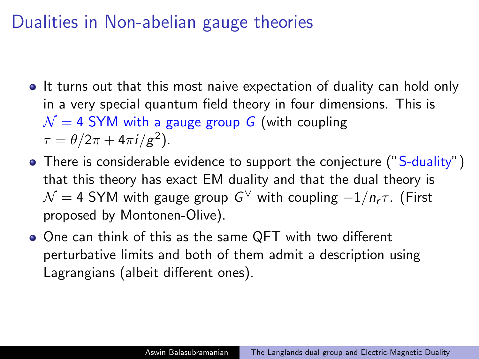- If turns out that this most naive expectation of duality can hold only in a very special quantum field theory in four dimensions. This is  $\mathcal{N} = 4$  SYM with a gauge group G (with coupling  $\tau = \theta/2\pi + 4\pi i/g^2$ ).
- There is considerable evidence to support the conjecture ("S-duality") that this theory has exact EM duality and that the dual theory is  $\mathcal{N}=$  4 SYM with gauge group  $\boldsymbol{G}^{\vee}$  with coupling  $-1/n_{\sf r}\tau$ . (First proposed by Montonen-Olive).
- One can think of this as the same QFT with two different perturbative limits and both of them admit a description using Lagrangians (albeit different ones).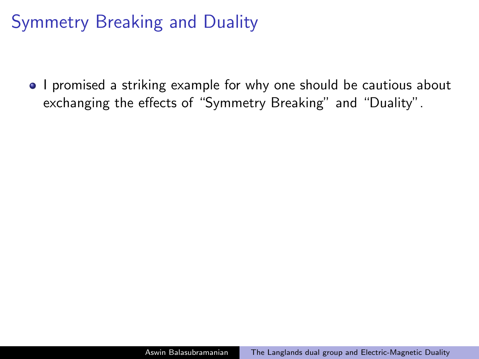### Symmetry Breaking and Duality

• I promised a striking example for why one should be cautious about exchanging the effects of "Symmetry Breaking" and "Duality".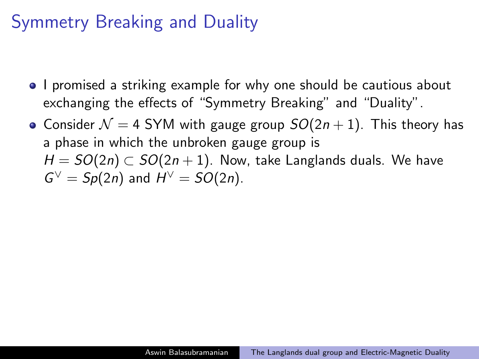#### Symmetry Breaking and Duality

- I promised a striking example for why one should be cautious about exchanging the effects of "Symmetry Breaking" and "Duality".
- Consider  $\mathcal{N} = 4$  SYM with gauge group  $SO(2n + 1)$ . This theory has a phase in which the unbroken gauge group is  $H = SO(2n) \subset SO(2n + 1)$ . Now, take Langlands duals. We have  $G^{\vee} = Sp(2n)$  and  $H^{\vee} = SO(2n)$ .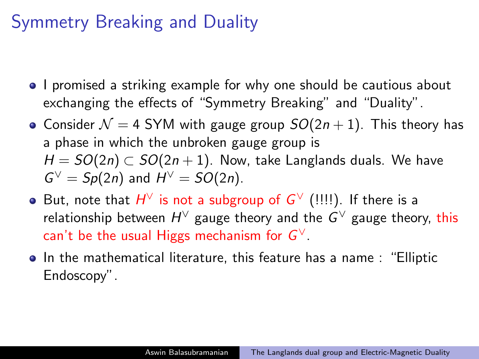### Symmetry Breaking and Duality

- I promised a striking example for why one should be cautious about exchanging the effects of "Symmetry Breaking" and "Duality".
- Consider  $\mathcal{N} = 4$  SYM with gauge group  $SO(2n + 1)$ . This theory has a phase in which the unbroken gauge group is  $H = SO(2n) \subset SO(2n+1)$ . Now, take Langlands duals. We have  $G^{\vee} = Sp(2n)$  and  $H^{\vee} = SO(2n)$ .
- But, note that  $H^{\vee}$  is not a subgroup of  $G^{\vee}$  (!!!!). If there is a relationship between  $H^\vee$  gauge theory and the  $G^\vee$  gauge theory, this can't be the usual Higgs mechanism for  $G^\vee.$
- **•** In the mathematical literature, this feature has a name : "Elliptic Endoscopy".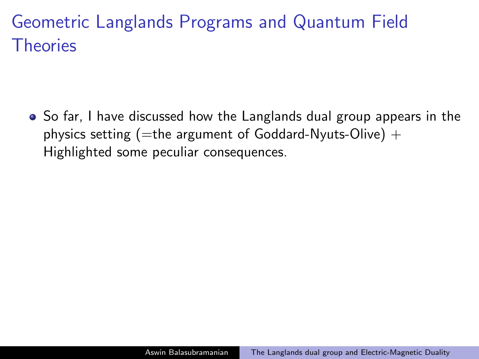• So far, I have discussed how the Langlands dual group appears in the physics setting (=the argument of Goddard-Nyuts-Olive) + Highlighted some peculiar consequences.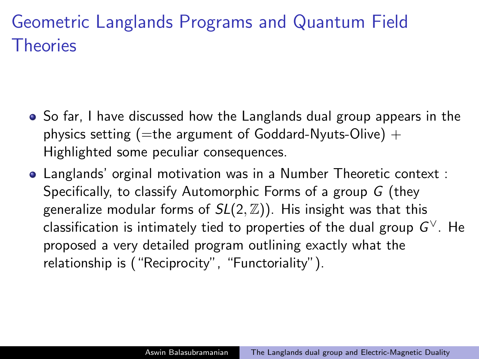- So far, I have discussed how the Langlands dual group appears in the physics setting (=the argument of Goddard-Nyuts-Olive) + Highlighted some peculiar consequences.
- Langlands' orginal motivation was in a Number Theoretic context : Specifically, to classify Automorphic Forms of a group G (they generalize modular forms of  $SL(2, \mathbb{Z})$ ). His insight was that this classification is intimately tied to properties of the dual group  $\boldsymbol{G}^{\vee}.$  He proposed a very detailed program outlining exactly what the relationship is ("Reciprocity", "Functoriality").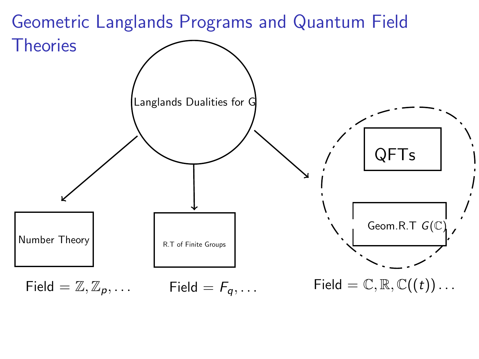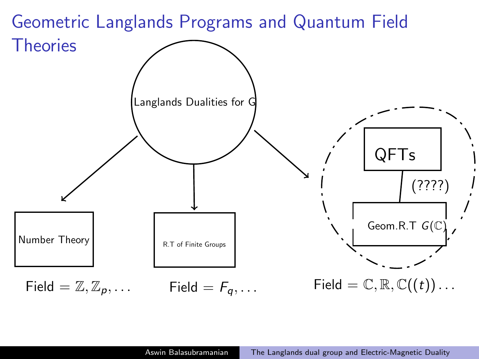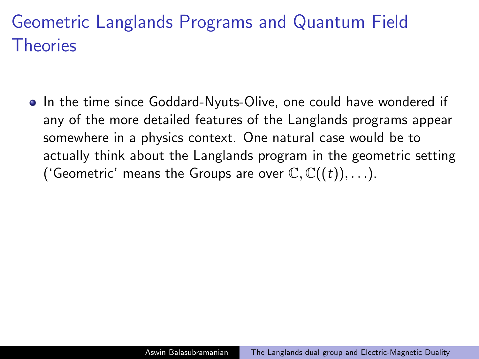• In the time since Goddard-Nyuts-Olive, one could have wondered if any of the more detailed features of the Langlands programs appear somewhere in a physics context. One natural case would be to actually think about the Langlands program in the geometric setting ('Geometric' means the Groups are over  $\mathbb{C}, \mathbb{C}((t)), \ldots$ ).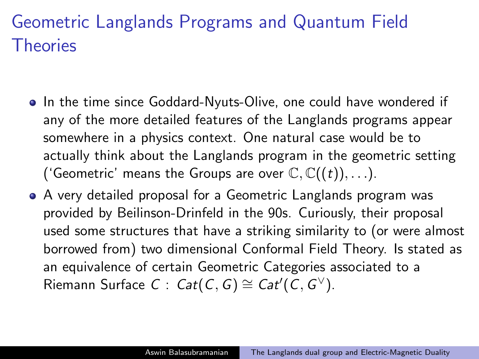- In the time since Goddard-Nyuts-Olive, one could have wondered if any of the more detailed features of the Langlands programs appear somewhere in a physics context. One natural case would be to actually think about the Langlands program in the geometric setting ('Geometric' means the Groups are over  $\mathbb{C}, \mathbb{C}((t)), \ldots$ ).
- A very detailed proposal for a Geometric Langlands program was provided by Beilinson-Drinfeld in the 90s. Curiously, their proposal used some structures that have a striking similarity to (or were almost borrowed from) two dimensional Conformal Field Theory. Is stated as an equivalence of certain Geometric Categories associated to a Riemann Surface  $C: \mathsf{Cat}(\mathcal{C}, \mathcal{G}) \cong \mathsf{Cat}'(\mathcal{C}, \mathcal{G}^{\vee}).$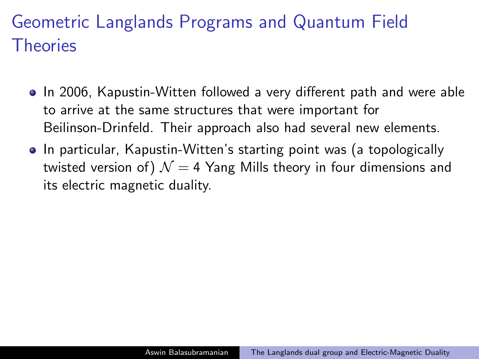- In 2006, Kapustin-Witten followed a very different path and were able to arrive at the same structures that were important for Beilinson-Drinfeld. Their approach also had several new elements.
- In particular, Kapustin-Witten's starting point was (a topologically twisted version of)  $\mathcal{N} = 4$  Yang Mills theory in four dimensions and its electric magnetic duality.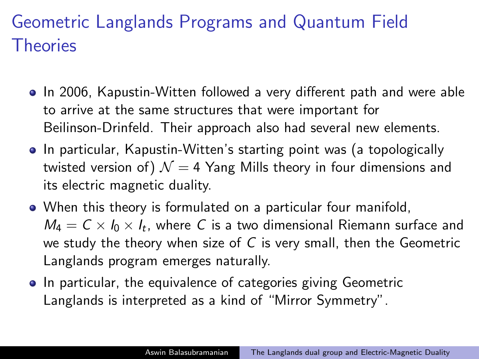- In 2006, Kapustin-Witten followed a very different path and were able to arrive at the same structures that were important for Beilinson-Drinfeld. Their approach also had several new elements.
- In particular, Kapustin-Witten's starting point was (a topologically twisted version of)  $\mathcal{N} = 4$  Yang Mills theory in four dimensions and its electric magnetic duality.
- When this theory is formulated on a particular four manifold,  $\mathit{M}_{4}=\mathit{C}\times\mathit{l}_{0}\times\mathit{l}_{t},$  where  $\mathit{C}$  is a two dimensional Riemann surface and we study the theory when size of  $C$  is very small, then the Geometric Langlands program emerges naturally.
- In particular, the equivalence of categories giving Geometric Langlands is interpreted as a kind of "Mirror Symmetry".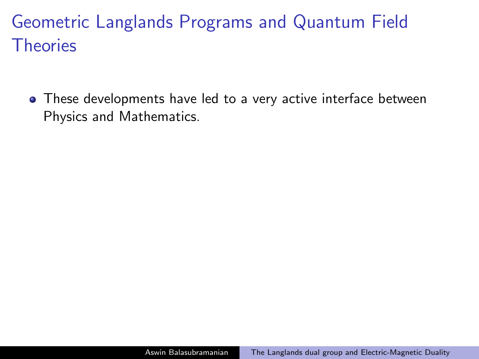• These developments have led to a very active interface between Physics and Mathematics.